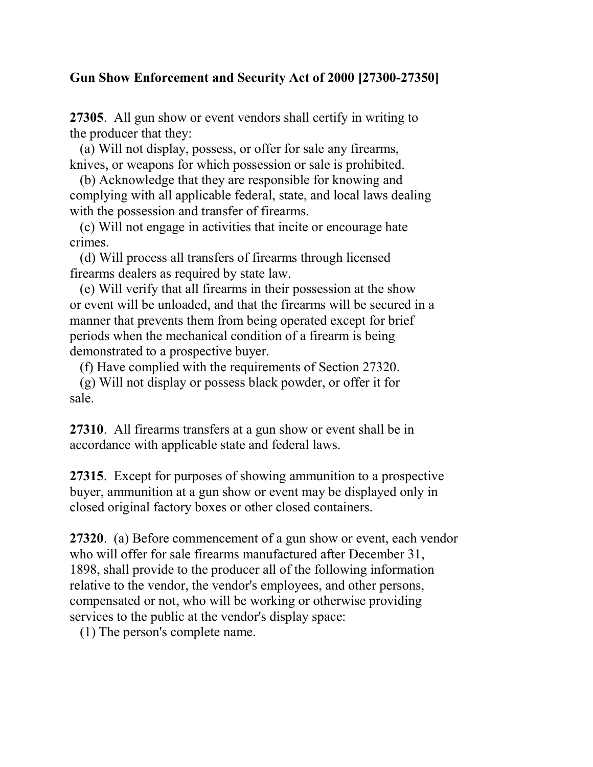## Gun Show Enforcement and Security Act of 2000 [27300-27350]

27305. All gun show or event vendors shall certify in writing to the producer that they:

 (a) Will not display, possess, or offer for sale any firearms, knives, or weapons for which possession or sale is prohibited.

 (b) Acknowledge that they are responsible for knowing and complying with all applicable federal, state, and local laws dealing with the possession and transfer of firearms.

 (c) Will not engage in activities that incite or encourage hate crimes.

 (d) Will process all transfers of firearms through licensed firearms dealers as required by state law.

 (e) Will verify that all firearms in their possession at the show or event will be unloaded, and that the firearms will be secured in a manner that prevents them from being operated except for brief periods when the mechanical condition of a firearm is being demonstrated to a prospective buyer.

(f) Have complied with the requirements of Section 27320.

 (g) Will not display or possess black powder, or offer it for sale.

27310. All firearms transfers at a gun show or event shall be in accordance with applicable state and federal laws.

27315. Except for purposes of showing ammunition to a prospective buyer, ammunition at a gun show or event may be displayed only in closed original factory boxes or other closed containers.

27320. (a) Before commencement of a gun show or event, each vendor who will offer for sale firearms manufactured after December 31, 1898, shall provide to the producer all of the following information relative to the vendor, the vendor's employees, and other persons, compensated or not, who will be working or otherwise providing services to the public at the vendor's display space:

(1) The person's complete name.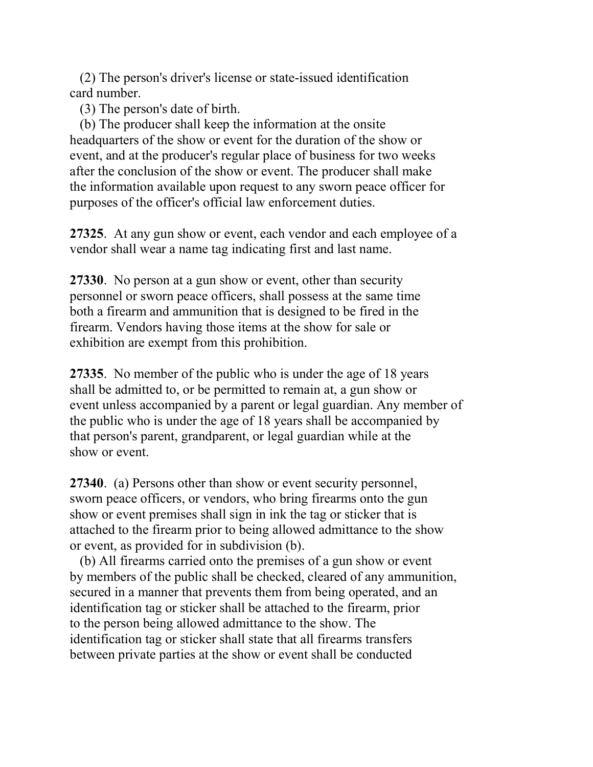(2) The person's driver's license or state-issued identification card number.

(3) The person's date of birth.

 (b) The producer shall keep the information at the onsite headquarters of the show or event for the duration of the show or event, and at the producer's regular place of business for two weeks after the conclusion of the show or event. The producer shall make the information available upon request to any sworn peace officer for purposes of the officer's official law enforcement duties.

27325. At any gun show or event, each vendor and each employee of a vendor shall wear a name tag indicating first and last name.

27330. No person at a gun show or event, other than security personnel or sworn peace officers, shall possess at the same time both a firearm and ammunition that is designed to be fired in the firearm. Vendors having those items at the show for sale or exhibition are exempt from this prohibition.

27335. No member of the public who is under the age of 18 years shall be admitted to, or be permitted to remain at, a gun show or event unless accompanied by a parent or legal guardian. Any member of the public who is under the age of 18 years shall be accompanied by that person's parent, grandparent, or legal guardian while at the show or event.

27340. (a) Persons other than show or event security personnel, sworn peace officers, or vendors, who bring firearms onto the gun show or event premises shall sign in ink the tag or sticker that is attached to the firearm prior to being allowed admittance to the show or event, as provided for in subdivision (b).

 (b) All firearms carried onto the premises of a gun show or event by members of the public shall be checked, cleared of any ammunition, secured in a manner that prevents them from being operated, and an identification tag or sticker shall be attached to the firearm, prior to the person being allowed admittance to the show. The identification tag or sticker shall state that all firearms transfers between private parties at the show or event shall be conducted